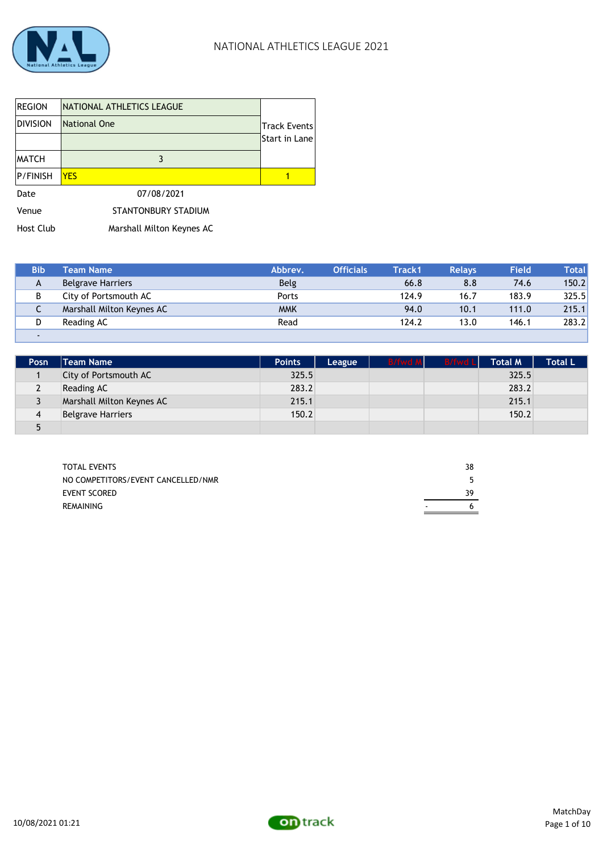

ı

| <b>REGION</b>    | NATIONAL ATHLETICS LEAGUE |                     |
|------------------|---------------------------|---------------------|
| <b>DIVISION</b>  | National One              | <b>Track Events</b> |
|                  |                           | Start in Lane       |
| <b>MATCH</b>     | 3                         |                     |
| <b>P/FINISH</b>  | <b>YES</b>                |                     |
| Date             | 07/08/2021                |                     |
| Venue            | STANTONBURY STADIUM       |                     |
| <b>Host Club</b> | Marshall Milton Keynes AC |                     |

| <b>Bib</b> | Team Name                 | Abbrev.     | <b>Officials</b> | Track1 | <b>Relavs</b> | <b>Field</b> | Totall |
|------------|---------------------------|-------------|------------------|--------|---------------|--------------|--------|
| A          | <b>Belgrave Harriers</b>  | <b>Belg</b> |                  | 66.8   | 8.8           | 74.6         | 150.2  |
| В          | City of Portsmouth AC     | Ports       |                  | 124.9  | 16.7          | 183.9        | 325.5  |
| ◡          | Marshall Milton Keynes AC | <b>MMK</b>  |                  | 94.0   | 10.1          | 111.0        | 215.1  |
| D          | Reading AC                | Read        |                  | 124.2  | 13.0          | 146.1        | 283.2  |
| -          |                           |             |                  |        |               |              |        |

| Posn | Team Name                 | <b>Points</b> | League | <b>B/fwd MI</b> | <b>B/fwd Ll</b> | <b>Total M</b> | <b>Total L</b> |
|------|---------------------------|---------------|--------|-----------------|-----------------|----------------|----------------|
|      | City of Portsmouth AC     | 325.5         |        |                 |                 | 325.5          |                |
|      | Reading AC                | 283.2         |        |                 |                 | 283.2          |                |
|      | Marshall Milton Keynes AC | 215.1         |        |                 |                 | 215.1          |                |
| 4    | <b>Belgrave Harriers</b>  | 150.2         |        |                 |                 | 150.2          |                |
|      |                           |               |        |                 |                 |                |                |

| <b>TOTAL EVENTS</b>                | 38     |
|------------------------------------|--------|
| NO COMPETITORS/EVENT CANCELLED/NMR | 5      |
| <b>EVENT SCORED</b>                | 39     |
| REMAINING                          | $\sim$ |

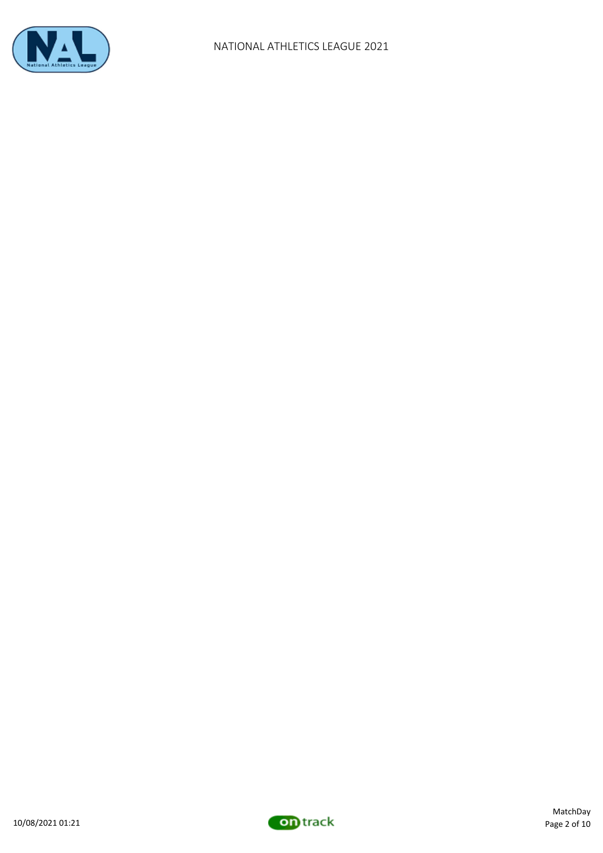

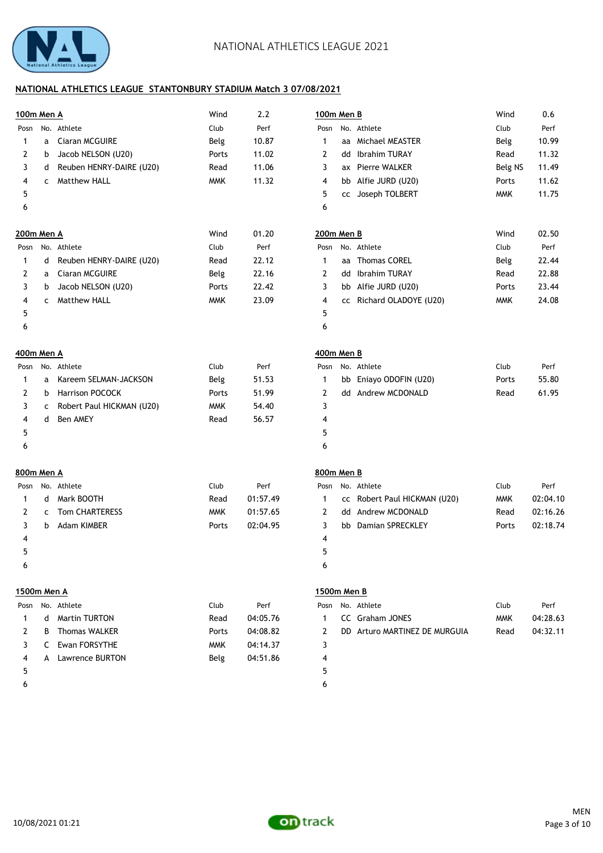

| 100m Men A  |   |                           | Wind       | 2.2      | 100m Men B   |                               | Wind       | 0.6      |
|-------------|---|---------------------------|------------|----------|--------------|-------------------------------|------------|----------|
| Posn        |   | No. Athlete               | Club       | Perf     | Posn         | No. Athlete                   | Club       | Perf     |
| 1           | a | <b>Ciaran MCGUIRE</b>     | Belg       | 10.87    | $\mathbf{1}$ | aa Michael MEASTER            | Belg       | 10.99    |
| 2           | b | Jacob NELSON (U20)        | Ports      | 11.02    | 2            | dd Ibrahim TURAY              | Read       | 11.32    |
| 3           | d | Reuben HENRY-DAIRE (U20)  | Read       | 11.06    | 3            | ax Pierre WALKER              | Belg NS    | 11.49    |
| 4           | c | <b>Matthew HALL</b>       | <b>MMK</b> | 11.32    | 4            | bb Alfie JURD (U20)           | Ports      | 11.62    |
| 5           |   |                           |            |          | 5            | cc Joseph TOLBERT             | <b>MMK</b> | 11.75    |
| 6           |   |                           |            |          | 6            |                               |            |          |
| 200m Men A  |   |                           | Wind       | 01.20    | 200m Men B   |                               | Wind       | 02.50    |
| Posn        |   | No. Athlete               | Club       | Perf     | Posn         | No. Athlete                   | Club       | Perf     |
| 1           | d | Reuben HENRY-DAIRE (U20)  | Read       | 22.12    | 1            | aa Thomas COREL               | Belg       | 22.44    |
| 2           | a | Ciaran MCGUIRE            | Belg       | 22.16    | 2            | dd Ibrahim TURAY              | Read       | 22.88    |
| 3           | b | Jacob NELSON (U20)        | Ports      | 22.42    | 3            | bb Alfie JURD (U20)           | Ports      | 23.44    |
| 4           | c | <b>Matthew HALL</b>       | <b>MMK</b> | 23.09    | 4            | cc Richard OLADOYE (U20)      | <b>MMK</b> | 24.08    |
| 5           |   |                           |            |          | 5            |                               |            |          |
| 6           |   |                           |            |          | 6            |                               |            |          |
| 400m Men A  |   |                           |            |          | 400m Men B   |                               |            |          |
| Posn        |   | No. Athlete               | Club       | Perf     | Posn         | No. Athlete                   | Club       | Perf     |
| 1           | a | Kareem SELMAN-JACKSON     | Belg       | 51.53    | 1            | bb Eniayo ODOFIN (U20)        | Ports      | 55.80    |
| 2           | b | Harrison POCOCK           | Ports      | 51.99    | 2            | dd Andrew MCDONALD            | Read       | 61.95    |
| 3           | c | Robert Paul HICKMAN (U20) | <b>MMK</b> | 54.40    | 3            |                               |            |          |
| 4           | d | <b>Ben AMEY</b>           | Read       | 56.57    | 4            |                               |            |          |
| 5           |   |                           |            |          | 5            |                               |            |          |
| 6           |   |                           |            |          | 6            |                               |            |          |
| 800m Men A  |   |                           |            |          | 800m Men B   |                               |            |          |
| Posn        |   | No. Athlete               | Club       | Perf     | Posn         | No. Athlete                   | Club       | Perf     |
| 1           | d | Mark BOOTH                | Read       | 01:57.49 | $\mathbf{1}$ | cc Robert Paul HICKMAN (U20)  | <b>MMK</b> | 02:04.10 |
| 2           | c | <b>Tom CHARTERESS</b>     | <b>MMK</b> | 01:57.65 | 2            | dd Andrew MCDONALD            | Read       | 02:16.26 |
| 3           | b | Adam KIMBER               | Ports      | 02:04.95 | 3            | bb Damian SPRECKLEY           | Ports      | 02:18.74 |
| 4           |   |                           |            |          | 4            |                               |            |          |
| 5           |   |                           |            |          | 5            |                               |            |          |
| 6           |   |                           |            |          | 6            |                               |            |          |
| 1500m Men A |   |                           |            |          | 1500m Men B  |                               |            |          |
| Posn        |   | No. Athlete               | Club       | Perf     |              | Posn No. Athlete              | Club       | Perf     |
| 1           | d | <b>Martin TURTON</b>      | Read       | 04:05.76 | 1            | CC Graham JONES               | <b>MMK</b> | 04:28.63 |
| 2           | В | <b>Thomas WALKER</b>      | Ports      | 04:08.82 | 2            | DD Arturo MARTINEZ DE MURGUIA | Read       | 04:32.11 |
| 3           | C | Ewan FORSYTHE             | <b>MMK</b> | 04:14.37 | 3            |                               |            |          |
| 4           | A | Lawrence BURTON           | Belg       | 04:51.86 | 4            |                               |            |          |
| 5           |   |                           |            |          | 5            |                               |            |          |

 $\epsilon$  6

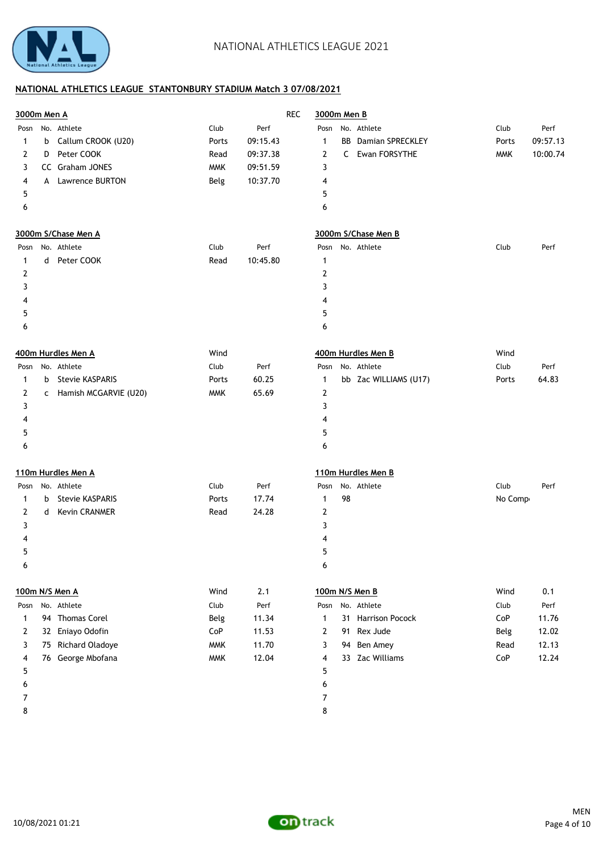

| 3000m Men A  |   |                         |            |          | <b>REC</b> | 3000m Men B    |    |                            |            |          |
|--------------|---|-------------------------|------------|----------|------------|----------------|----|----------------------------|------------|----------|
| Posn         |   | No. Athlete             | Club       | Perf     |            | Posn           |    | No. Athlete                | Club       | Perf     |
| 1            |   | b Callum CROOK (U20)    | Ports      | 09:15.43 |            | $\mathbf{1}$   |    | <b>BB</b> Damian SPRECKLEY | Ports      | 09:57.13 |
| 2            | D | Peter COOK              | Read       | 09:37.38 |            | 2              |    | C Ewan FORSYTHE            | <b>MMK</b> | 10:00.74 |
| 3            |   | CC Graham JONES         | <b>MMK</b> | 09:51.59 |            | 3              |    |                            |            |          |
| 4            |   | A Lawrence BURTON       | Belg       | 10:37.70 |            | 4              |    |                            |            |          |
| 5            |   |                         |            |          |            | 5              |    |                            |            |          |
| 6            |   |                         |            |          |            | 6              |    |                            |            |          |
|              |   | 3000m S/Chase Men A     |            |          |            |                |    | 3000m S/Chase Men B        |            |          |
| Posn         |   | No. Athlete             | Club       | Perf     |            | Posn           |    | No. Athlete                | Club       | Perf     |
| 1            | d | Peter COOK              | Read       | 10:45.80 |            | $\mathbf{1}$   |    |                            |            |          |
| 2            |   |                         |            |          |            | $\overline{2}$ |    |                            |            |          |
| 3            |   |                         |            |          |            | 3              |    |                            |            |          |
| 4            |   |                         |            |          |            | 4              |    |                            |            |          |
| 5            |   |                         |            |          |            | 5              |    |                            |            |          |
| 6            |   |                         |            |          |            | 6              |    |                            |            |          |
|              |   | 400m Hurdles Men A      | Wind       |          |            |                |    | 400m Hurdles Men B         | Wind       |          |
| Posn         |   | No. Athlete             | Club       | Perf     |            | Posn           |    | No. Athlete                | Club       | Perf     |
| 1            | b | <b>Stevie KASPARIS</b>  | Ports      | 60.25    |            | $\mathbf{1}$   |    | bb Zac WILLIAMS (U17)      | Ports      | 64.83    |
| 2            |   | c Hamish MCGARVIE (U20) | <b>MMK</b> | 65.69    |            | $\mathbf{2}$   |    |                            |            |          |
| 3            |   |                         |            |          |            | 3              |    |                            |            |          |
| 4            |   |                         |            |          |            | 4              |    |                            |            |          |
| 5            |   |                         |            |          |            | 5              |    |                            |            |          |
| 6            |   |                         |            |          |            | 6              |    |                            |            |          |
|              |   | 110m Hurdles Men A      |            |          |            |                |    | 110m Hurdles Men B         |            |          |
| Posn         |   | No. Athlete             | Club       | Perf     |            | Posn           |    | No. Athlete                | Club       | Perf     |
| 1            | b | <b>Stevie KASPARIS</b>  | Ports      | 17.74    |            | $\mathbf{1}$   | 98 |                            | No Comp    |          |
| 2            | d | Kevin CRANMER           | Read       | 24.28    |            | $\overline{2}$ |    |                            |            |          |
| 3            |   |                         |            |          |            | 3              |    |                            |            |          |
| 4            |   |                         |            |          |            | 4              |    |                            |            |          |
| 5            |   |                         |            |          |            | 5              |    |                            |            |          |
| 6            |   |                         |            |          |            | 6              |    |                            |            |          |
|              |   | 100m N/S Men A          | Wind       | 2.1      |            |                |    | 100m N/S Men B             | Wind       | 0.1      |
| Posn         |   | No. Athlete             | Club       | Perf     |            | Posn           |    | No. Athlete                | Club       | Perf     |
| $\mathbf{1}$ |   | 94 Thomas Corel         | Belg       | 11.34    |            | $\mathbf{1}$   | 31 | <b>Harrison Pocock</b>     | CoP        | 11.76    |
| 2            |   | 32 Eniayo Odofin        | CoP        | 11.53    |            | 2              | 91 | Rex Jude                   | Belg       | 12.02    |
| 3            |   | 75 Richard Oladoye      | <b>MMK</b> | 11.70    |            | 3              | 94 | Ben Amey                   | Read       | 12.13    |
| 4            |   | 76 George Mbofana       | <b>MMK</b> | 12.04    |            | 4              |    | 33 Zac Williams            | CoP        | 12.24    |
| 5            |   |                         |            |          |            | 5              |    |                            |            |          |
| 6            |   |                         |            |          |            | 6              |    |                            |            |          |
| 7            |   |                         |            |          |            | 7              |    |                            |            |          |
| 8            |   |                         |            |          |            | 8              |    |                            |            |          |

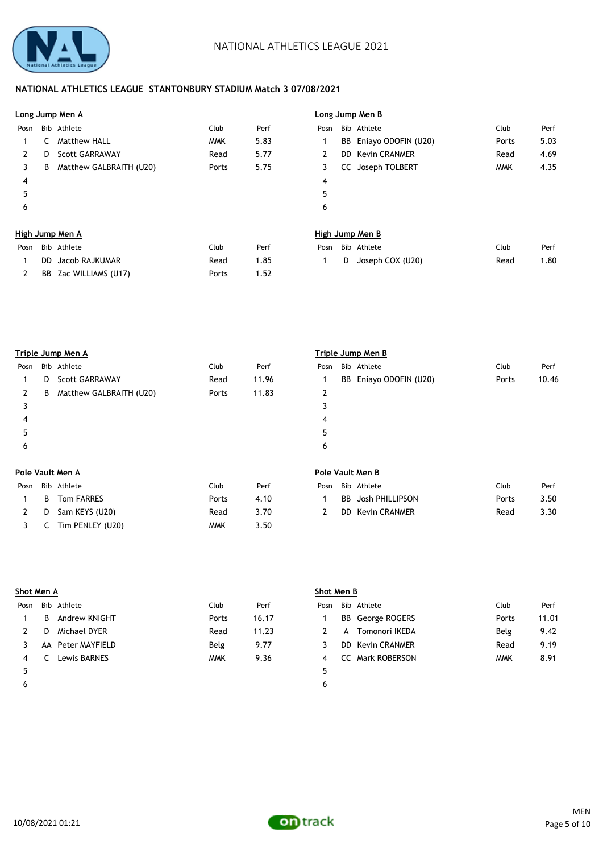

|      | Long Jump Men A |                         |            |      |      | Long Jump Men B |                        |            |      |  |  |  |
|------|-----------------|-------------------------|------------|------|------|-----------------|------------------------|------------|------|--|--|--|
| Posn |                 | Bib Athlete             | Club       | Perf | Posn |                 | Bib Athlete            | Club       | Perf |  |  |  |
|      |                 | <b>Matthew HALL</b>     | <b>MMK</b> | 5.83 | 1    |                 | BB Eniayo ODOFIN (U20) | Ports      | 5.03 |  |  |  |
| 2    | D               | <b>Scott GARRAWAY</b>   | Read       | 5.77 | 2    | DD.             | <b>Kevin CRANMER</b>   | Read       | 4.69 |  |  |  |
| 3    | B               | Matthew GALBRAITH (U20) | Ports      | 5.75 | 3    |                 | CC Joseph TOLBERT      | <b>MMK</b> | 4.35 |  |  |  |
| 4    |                 |                         |            |      | 4    |                 |                        |            |      |  |  |  |
| 5    |                 |                         |            |      | 5    |                 |                        |            |      |  |  |  |
| 6    |                 |                         |            |      | 6    |                 |                        |            |      |  |  |  |
|      |                 | High Jump Men A         |            |      |      |                 | High Jump Men B        |            |      |  |  |  |
| Posn |                 | Bib Athlete             | Club       | Perf | Posn |                 | Bib Athlete            | Club       | Perf |  |  |  |
|      | DD              | Jacob RAJKUMAR          | Read       | 1.85 | 1    | D.              | Joseph COX (U20)       | Read       | 1.80 |  |  |  |
| 2    | BB              | Zac WILLIAMS (U17)      | Ports      | 1.52 |      |                 |                        |            |      |  |  |  |

|      | Triple Jump Men A |                         |       |       |                | Triple Jump Men B |                        |       |       |  |  |  |  |
|------|-------------------|-------------------------|-------|-------|----------------|-------------------|------------------------|-------|-------|--|--|--|--|
| Posn |                   | Bib Athlete             | Club  | Perf  | Posn           |                   | Bib Athlete            | Club  | Perf  |  |  |  |  |
|      | D                 | <b>Scott GARRAWAY</b>   | Read  | 11.96 |                | BB                | Eniavo ODOFIN (U20)    | Ports | 10.46 |  |  |  |  |
| 2    | В                 | Matthew GALBRAITH (U20) | Ports | 11.83 | $\overline{2}$ |                   |                        |       |       |  |  |  |  |
| 3    |                   |                         |       |       | 3              |                   |                        |       |       |  |  |  |  |
| 4    |                   |                         |       |       | 4              |                   |                        |       |       |  |  |  |  |
| 5    |                   |                         |       |       | 5              |                   |                        |       |       |  |  |  |  |
| 6    |                   |                         |       |       | 6              |                   |                        |       |       |  |  |  |  |
|      |                   | Pole Vault Men A        |       |       |                |                   | Pole Vault Men B       |       |       |  |  |  |  |
| Posn |                   | Bib Athlete             | Club  | Perf  | Posn           |                   | Bib Athlete            | Club  | Perf  |  |  |  |  |
|      | B                 | <b>Tom FARRES</b>       | Ports | 4.10  | 1              | BB                | <b>Josh PHILLIPSON</b> | Ports | 3.50  |  |  |  |  |
| 2    | D                 | Sam KEYS (U20)          | Read  | 3.70  | 2              | DD                | <b>Kevin CRANMER</b>   | Read  | 3.30  |  |  |  |  |

|      | Shot Men A |                   |            |       |      | Shot Men B |                         |            |       |  |  |  |
|------|------------|-------------------|------------|-------|------|------------|-------------------------|------------|-------|--|--|--|
| Posn |            | Bib Athlete       | Club       | Perf  | Posn |            | Bib Athlete             | Club       | Perf  |  |  |  |
|      | B          | Andrew KNIGHT     | Ports      | 16.17 |      |            | <b>BB</b> George ROGERS | Ports      | 11.01 |  |  |  |
|      | D          | Michael DYER      | Read       | 11.23 |      | A          | Tomonori IKEDA          | Belg       | 9.42  |  |  |  |
|      |            | AA Peter MAYFIELD | Belg       | 9.77  |      |            | DD Kevin CRANMER        | Read       | 9.19  |  |  |  |
| 4    |            | Lewis BARNES      | <b>MMK</b> | 9.36  | 4    |            | <b>CC</b> Mark ROBERSON | <b>MMK</b> | 8.91  |  |  |  |
|      |            |                   |            |       | 5    |            |                         |            |       |  |  |  |

3 C Tim PENLEY (U20) MMK 3.50

| Shot Men B |                         |            |      |
|------------|-------------------------|------------|------|
| Posn       | Bib Athlete             | Club       | Perf |
| 1          | <b>BB</b> George ROGERS | Ports      | 11.0 |
| 2          | A Tomonori IKEDA        | Belg       | 9.42 |
| 3          | DD Kevin CRANMER        | Read       | 9.19 |
| 4          | CC Mark ROBERSON        | <b>MMK</b> | 8.91 |
| 5          |                         |            |      |
|            |                         |            |      |

 $\epsilon$  6

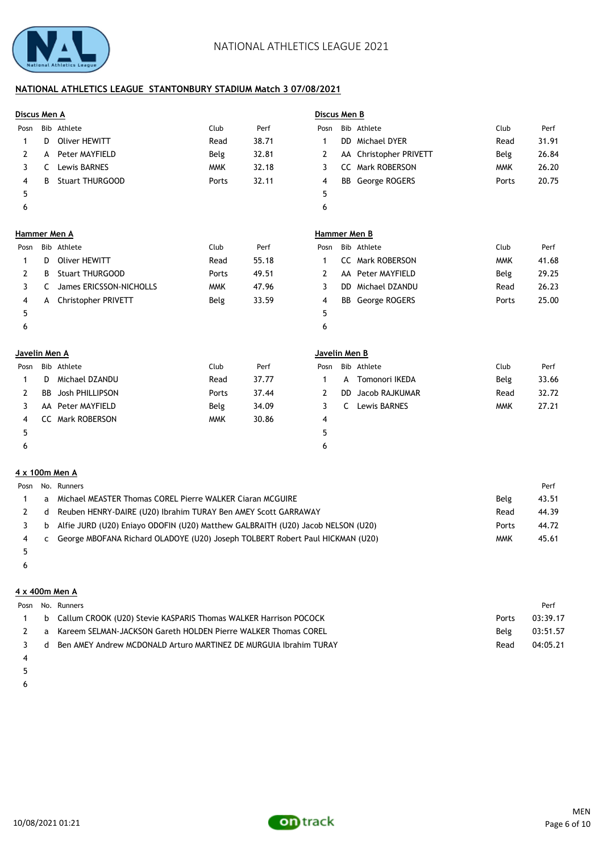

| Discus Men A  |    |                         |            |       | Discus Men B  |     |                         |            |       |
|---------------|----|-------------------------|------------|-------|---------------|-----|-------------------------|------------|-------|
| Posn          |    | Bib Athlete             | Club       | Perf  | Posn          |     | Bib Athlete             | Club       | Perf  |
| 1             | D  | <b>Oliver HEWITT</b>    | Read       | 38.71 | 1             |     | DD Michael DYER         | Read       | 31.91 |
| 2             | A  | Peter MAYFIELD          | Belg       | 32.81 | 2             | AA  | Christopher PRIVETT     | Belg       | 26.84 |
| 3             | C  | <b>Lewis BARNES</b>     | <b>MMK</b> | 32.18 | 3             | CC. | Mark ROBERSON           | <b>MMK</b> | 26.20 |
| 4             | B  | <b>Stuart THURGOOD</b>  | Ports      | 32.11 | 4             | BB  | George ROGERS           | Ports      | 20.75 |
| 5             |    |                         |            |       | 5             |     |                         |            |       |
| 6             |    |                         |            |       | 6             |     |                         |            |       |
| Hammer Men A  |    |                         |            |       | Hammer Men B  |     |                         |            |       |
| Posn          |    | Bib Athlete             | Club       | Perf  | Posn          |     | Bib Athlete             | Club       | Perf  |
| 1             | D  | <b>Oliver HEWITT</b>    | Read       | 55.18 | 1             |     | <b>CC Mark ROBERSON</b> | <b>MMK</b> | 41.68 |
| 2             | B  | <b>Stuart THURGOOD</b>  | Ports      | 49.51 | 2             | AA  | Peter MAYFIELD          | Belg       | 29.25 |
| 3             | C  | James ERICSSON-NICHOLLS | <b>MMK</b> | 47.96 | 3             | DD. | Michael DZANDU          | Read       | 26.23 |
| 4             | A  | Christopher PRIVETT     | Belg       | 33.59 | 4             | BB  | George ROGERS           | Ports      | 25.00 |
| 5             |    |                         |            |       | 5             |     |                         |            |       |
| 6             |    |                         |            |       | 6             |     |                         |            |       |
| Javelin Men A |    |                         |            |       | Javelin Men B |     |                         |            |       |
| Posn          |    | Bib Athlete             | Club       | Perf  | Posn          |     | Bib Athlete             | Club       | Perf  |
| 1             | D  | Michael DZANDU          | Read       | 37.77 | 1             | A   | <b>Tomonori IKEDA</b>   | Belg       | 33.66 |
| 2             | BB | Josh PHILLIPSON         | Ports      | 37.44 | 2             | DD. | Jacob RAJKUMAR          | Read       | 32.72 |
| 3             |    | AA Peter MAYFIELD       | Belg       | 34.09 | 3             | C   | Lewis BARNES            | <b>MMK</b> | 27.21 |
| 4             |    | CC Mark ROBERSON        | <b>MMK</b> | 30.86 | 4             |     |                         |            |       |
| 5             |    |                         |            |       | 5             |     |                         |            |       |
| 6             |    |                         |            |       | 6             |     |                         |            |       |

### **4 x 100m Men A**

| Posn No. |    | Runners                                                                         |       | Perf  |
|----------|----|---------------------------------------------------------------------------------|-------|-------|
|          |    | Michael MEASTER Thomas COREL Pierre WALKER Ciaran MCGUIRE                       | Belg  | 43.51 |
|          |    | Reuben HENRY-DAIRE (U20) Ibrahim TURAY Ben AMEY Scott GARRAWAY                  | Read  | 44.39 |
|          | h. | Alfie JURD (U20) Eniayo ODOFIN (U20) Matthew GALBRAITH (U20) Jacob NELSON (U20) | Ports | 44.72 |
|          |    | George MBOFANA Richard OLADOYE (U20) Joseph TOLBERT Robert Paul HICKMAN (U20)   | MMK   | 45.61 |
|          |    |                                                                                 |       |       |

 $6\overline{ }$ 

### **4 x 400m Men A**

|  | Posn No. Runners                                                      |       | Perf     |
|--|-----------------------------------------------------------------------|-------|----------|
|  | b Callum CROOK (U20) Stevie KASPARIS Thomas WALKER Harrison POCOCK    | Ports | 03:39.17 |
|  | a Kareem SELMAN-JACKSON Gareth HOLDEN Pierre WALKER Thomas COREL      | Belg  | 03:51.57 |
|  | 3 d Ben AMEY Andrew MCDONALD Arturo MARTINEZ DE MURGUIA Ibrahim TURAY | Read  | 04:05.21 |

- 
- 
- $6\overline{ }$

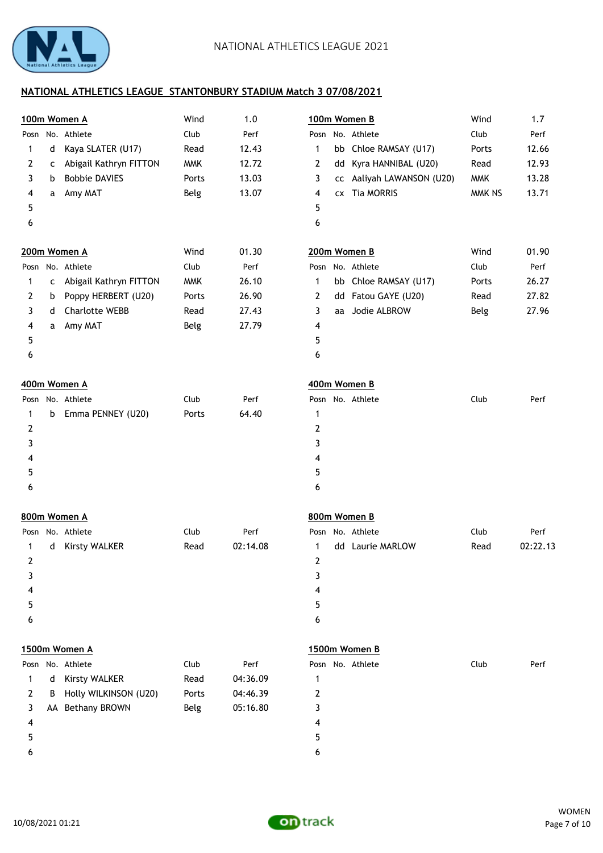

|              |              | 100m Women A           | Wind       | 1.0      |                         |    | 100m Women B              | Wind          | 1.7      |
|--------------|--------------|------------------------|------------|----------|-------------------------|----|---------------------------|---------------|----------|
|              |              | Posn No. Athlete       | Club       | Perf     | Posn                    |    | No. Athlete               | Club          | Perf     |
| 1            | d            | Kaya SLATER (U17)      | Read       | 12.43    | $\mathbf{1}$            | bb | Chloe RAMSAY (U17)        | Ports         | 12.66    |
| 2            | c            | Abigail Kathryn FITTON | <b>MMK</b> | 12.72    | $\overline{2}$          |    | dd Kyra HANNIBAL (U20)    | Read          | 12.93    |
| 3            | b            | <b>Bobbie DAVIES</b>   | Ports      | 13.03    | 3                       |    | cc Aaliyah LAWANSON (U20) | <b>MMK</b>    | 13.28    |
| 4            | a            | Amy MAT                | Belg       | 13.07    | 4                       |    | cx Tia MORRIS             | <b>MMK NS</b> | 13.71    |
| 5            |              |                        |            |          | 5                       |    |                           |               |          |
| 6            |              |                        |            |          | 6                       |    |                           |               |          |
|              |              | 200m Women A           | Wind       | 01.30    |                         |    | 200m Women B              | Wind          | 01.90    |
|              |              | Posn No. Athlete       | Club       | Perf     |                         |    | Posn No. Athlete          | Club          | Perf     |
| 1            | $\mathsf{C}$ | Abigail Kathryn FITTON | <b>MMK</b> | 26.10    | 1                       |    | bb Chloe RAMSAY (U17)     | Ports         | 26.27    |
| $\mathbf{2}$ | b            | Poppy HERBERT (U20)    | Ports      | 26.90    | $\overline{2}$          |    | dd Fatou GAYE (U20)       | Read          | 27.82    |
| 3            | d            | <b>Charlotte WEBB</b>  | Read       | 27.43    | 3                       | aa | Jodie ALBROW              | Belg          | 27.96    |
| 4            | а            | Amy MAT                | Belg       | 27.79    | $\overline{\mathbf{4}}$ |    |                           |               |          |
| 5            |              |                        |            |          | 5                       |    |                           |               |          |
| 6            |              |                        |            |          | 6                       |    |                           |               |          |
|              |              | 400m Women A           |            |          |                         |    | 400m Women B              |               |          |
|              |              | Posn No. Athlete       | Club       | Perf     |                         |    | Posn No. Athlete          | Club          | Perf     |
| 1            | b            | Emma PENNEY (U20)      | Ports      | 64.40    | 1                       |    |                           |               |          |
| 2            |              |                        |            |          | $\overline{2}$          |    |                           |               |          |
| 3            |              |                        |            |          | 3                       |    |                           |               |          |
| 4            |              |                        |            |          | 4                       |    |                           |               |          |
| 5            |              |                        |            |          | 5                       |    |                           |               |          |
| 6            |              |                        |            |          | 6                       |    |                           |               |          |
|              |              | 800m Women A           |            |          |                         |    | 800m Women B              |               |          |
|              |              | Posn No. Athlete       | Club       | Perf     |                         |    | Posn No. Athlete          | Club          | Perf     |
| 1            | d            | <b>Kirsty WALKER</b>   | Read       | 02:14.08 | 1                       |    | dd Laurie MARLOW          | Read          | 02:22.13 |
| 2            |              |                        |            |          | $\overline{2}$          |    |                           |               |          |
| 3            |              |                        |            |          | 3                       |    |                           |               |          |
| 4            |              |                        |            |          | 4                       |    |                           |               |          |
| 5            |              |                        |            |          | 5                       |    |                           |               |          |
| 6            |              |                        |            |          | 6                       |    |                           |               |          |
|              |              | 1500m Women A          |            |          |                         |    | 1500m Women B             |               |          |
|              |              | Posn No. Athlete       | Club       | Perf     |                         |    | Posn No. Athlete          | Club          | Perf     |
| 1            | d            | <b>Kirsty WALKER</b>   | Read       | 04:36.09 | 1                       |    |                           |               |          |
| 2            | B            | Holly WILKINSON (U20)  | Ports      | 04:46.39 | 2                       |    |                           |               |          |
| 3            |              | AA Bethany BROWN       | Belg       | 05:16.80 | 3                       |    |                           |               |          |
| 4            |              |                        |            |          | 4                       |    |                           |               |          |
| 5            |              |                        |            |          | 5                       |    |                           |               |          |
| 6            |              |                        |            |          | 6                       |    |                           |               |          |
|              |              |                        |            |          |                         |    |                           |               |          |

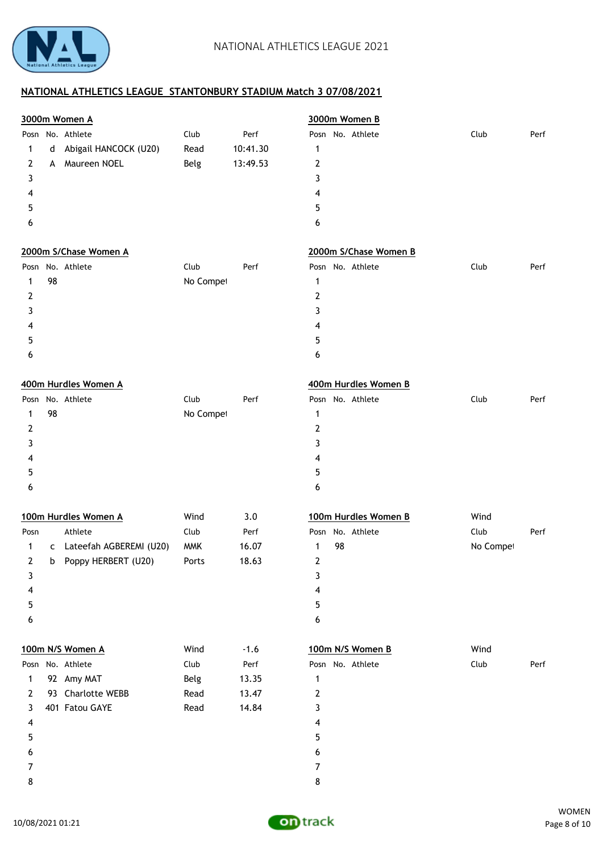

| Posn No. Athlete<br>Club<br>Perf<br>Posn No. Athlete<br>Club<br>Perf<br>Abigail HANCOCK (U20)<br>10:41.30<br>Read<br>1<br>d<br>1<br>Maureen NOEL<br>Belg<br>13:49.53<br>2<br>2<br>A<br>3<br>3<br>4<br>4<br>5<br>5<br>6<br>6<br>2000m S/Chase Women A<br>2000m S/Chase Women B<br>Posn No. Athlete<br>Posn No. Athlete<br>Club<br>Club<br>Perf<br>Perf<br>98<br>No Compet<br>1<br>1<br>2<br>2<br>3<br>3<br>4<br>4<br>5<br>5<br>6<br>6<br>400m Hurdles Women A<br>400m Hurdles Women B<br>Posn No. Athlete<br>Posn No. Athlete<br>Club<br>Club<br>Perf<br>Perf<br>98<br>No Compet<br>1<br>1<br>$\overline{2}$<br>2<br>3<br>3<br>4<br>4<br>5<br>5<br>6<br>6<br>100m Hurdles Women A<br>Wind<br>3.0<br>100m Hurdles Women B<br>Wind<br>Posn No. Athlete<br>Club<br>Athlete<br>Club<br>Perf<br>Posn<br>Perf<br>16.07<br>98<br>No Compet<br>Lateefah AGBEREMI (U20)<br><b>MMK</b><br>1<br>1<br>c<br>$\mathbf{2}$<br>2<br>Poppy HERBERT (U20)<br>18.63<br>b<br>Ports<br>3<br>3<br>4<br>4<br>5<br>5<br>6<br>6<br>100m N/S Women A<br>Wind<br>Wind<br>$-1.6$<br>100m N/S Women B<br>Club<br>Club<br>Posn No. Athlete<br>Posn No. Athlete<br>Perf<br>Perf<br>92 Amy MAT<br>Belg<br>13.35<br>1<br>1<br>93 Charlotte WEBB<br>13.47<br>2<br>2<br>Read<br>401 Fatou GAYE<br>14.84<br>Read<br>3<br>3<br>4<br>4<br>5<br>5<br>6<br>6<br>7<br>7<br>8<br>8 |  | 3000m Women A |  | 3000m Women B |  |
|-----------------------------------------------------------------------------------------------------------------------------------------------------------------------------------------------------------------------------------------------------------------------------------------------------------------------------------------------------------------------------------------------------------------------------------------------------------------------------------------------------------------------------------------------------------------------------------------------------------------------------------------------------------------------------------------------------------------------------------------------------------------------------------------------------------------------------------------------------------------------------------------------------------------------------------------------------------------------------------------------------------------------------------------------------------------------------------------------------------------------------------------------------------------------------------------------------------------------------------------------------------------------------------------------------------------------------------------|--|---------------|--|---------------|--|
|                                                                                                                                                                                                                                                                                                                                                                                                                                                                                                                                                                                                                                                                                                                                                                                                                                                                                                                                                                                                                                                                                                                                                                                                                                                                                                                                         |  |               |  |               |  |
|                                                                                                                                                                                                                                                                                                                                                                                                                                                                                                                                                                                                                                                                                                                                                                                                                                                                                                                                                                                                                                                                                                                                                                                                                                                                                                                                         |  |               |  |               |  |
|                                                                                                                                                                                                                                                                                                                                                                                                                                                                                                                                                                                                                                                                                                                                                                                                                                                                                                                                                                                                                                                                                                                                                                                                                                                                                                                                         |  |               |  |               |  |
|                                                                                                                                                                                                                                                                                                                                                                                                                                                                                                                                                                                                                                                                                                                                                                                                                                                                                                                                                                                                                                                                                                                                                                                                                                                                                                                                         |  |               |  |               |  |
|                                                                                                                                                                                                                                                                                                                                                                                                                                                                                                                                                                                                                                                                                                                                                                                                                                                                                                                                                                                                                                                                                                                                                                                                                                                                                                                                         |  |               |  |               |  |
|                                                                                                                                                                                                                                                                                                                                                                                                                                                                                                                                                                                                                                                                                                                                                                                                                                                                                                                                                                                                                                                                                                                                                                                                                                                                                                                                         |  |               |  |               |  |
|                                                                                                                                                                                                                                                                                                                                                                                                                                                                                                                                                                                                                                                                                                                                                                                                                                                                                                                                                                                                                                                                                                                                                                                                                                                                                                                                         |  |               |  |               |  |
|                                                                                                                                                                                                                                                                                                                                                                                                                                                                                                                                                                                                                                                                                                                                                                                                                                                                                                                                                                                                                                                                                                                                                                                                                                                                                                                                         |  |               |  |               |  |
|                                                                                                                                                                                                                                                                                                                                                                                                                                                                                                                                                                                                                                                                                                                                                                                                                                                                                                                                                                                                                                                                                                                                                                                                                                                                                                                                         |  |               |  |               |  |
|                                                                                                                                                                                                                                                                                                                                                                                                                                                                                                                                                                                                                                                                                                                                                                                                                                                                                                                                                                                                                                                                                                                                                                                                                                                                                                                                         |  |               |  |               |  |
|                                                                                                                                                                                                                                                                                                                                                                                                                                                                                                                                                                                                                                                                                                                                                                                                                                                                                                                                                                                                                                                                                                                                                                                                                                                                                                                                         |  |               |  |               |  |
|                                                                                                                                                                                                                                                                                                                                                                                                                                                                                                                                                                                                                                                                                                                                                                                                                                                                                                                                                                                                                                                                                                                                                                                                                                                                                                                                         |  |               |  |               |  |
|                                                                                                                                                                                                                                                                                                                                                                                                                                                                                                                                                                                                                                                                                                                                                                                                                                                                                                                                                                                                                                                                                                                                                                                                                                                                                                                                         |  |               |  |               |  |
|                                                                                                                                                                                                                                                                                                                                                                                                                                                                                                                                                                                                                                                                                                                                                                                                                                                                                                                                                                                                                                                                                                                                                                                                                                                                                                                                         |  |               |  |               |  |
|                                                                                                                                                                                                                                                                                                                                                                                                                                                                                                                                                                                                                                                                                                                                                                                                                                                                                                                                                                                                                                                                                                                                                                                                                                                                                                                                         |  |               |  |               |  |
|                                                                                                                                                                                                                                                                                                                                                                                                                                                                                                                                                                                                                                                                                                                                                                                                                                                                                                                                                                                                                                                                                                                                                                                                                                                                                                                                         |  |               |  |               |  |
|                                                                                                                                                                                                                                                                                                                                                                                                                                                                                                                                                                                                                                                                                                                                                                                                                                                                                                                                                                                                                                                                                                                                                                                                                                                                                                                                         |  |               |  |               |  |
|                                                                                                                                                                                                                                                                                                                                                                                                                                                                                                                                                                                                                                                                                                                                                                                                                                                                                                                                                                                                                                                                                                                                                                                                                                                                                                                                         |  |               |  |               |  |
|                                                                                                                                                                                                                                                                                                                                                                                                                                                                                                                                                                                                                                                                                                                                                                                                                                                                                                                                                                                                                                                                                                                                                                                                                                                                                                                                         |  |               |  |               |  |
|                                                                                                                                                                                                                                                                                                                                                                                                                                                                                                                                                                                                                                                                                                                                                                                                                                                                                                                                                                                                                                                                                                                                                                                                                                                                                                                                         |  |               |  |               |  |
|                                                                                                                                                                                                                                                                                                                                                                                                                                                                                                                                                                                                                                                                                                                                                                                                                                                                                                                                                                                                                                                                                                                                                                                                                                                                                                                                         |  |               |  |               |  |
|                                                                                                                                                                                                                                                                                                                                                                                                                                                                                                                                                                                                                                                                                                                                                                                                                                                                                                                                                                                                                                                                                                                                                                                                                                                                                                                                         |  |               |  |               |  |
|                                                                                                                                                                                                                                                                                                                                                                                                                                                                                                                                                                                                                                                                                                                                                                                                                                                                                                                                                                                                                                                                                                                                                                                                                                                                                                                                         |  |               |  |               |  |
|                                                                                                                                                                                                                                                                                                                                                                                                                                                                                                                                                                                                                                                                                                                                                                                                                                                                                                                                                                                                                                                                                                                                                                                                                                                                                                                                         |  |               |  |               |  |
|                                                                                                                                                                                                                                                                                                                                                                                                                                                                                                                                                                                                                                                                                                                                                                                                                                                                                                                                                                                                                                                                                                                                                                                                                                                                                                                                         |  |               |  |               |  |
|                                                                                                                                                                                                                                                                                                                                                                                                                                                                                                                                                                                                                                                                                                                                                                                                                                                                                                                                                                                                                                                                                                                                                                                                                                                                                                                                         |  |               |  |               |  |
|                                                                                                                                                                                                                                                                                                                                                                                                                                                                                                                                                                                                                                                                                                                                                                                                                                                                                                                                                                                                                                                                                                                                                                                                                                                                                                                                         |  |               |  |               |  |
|                                                                                                                                                                                                                                                                                                                                                                                                                                                                                                                                                                                                                                                                                                                                                                                                                                                                                                                                                                                                                                                                                                                                                                                                                                                                                                                                         |  |               |  |               |  |
|                                                                                                                                                                                                                                                                                                                                                                                                                                                                                                                                                                                                                                                                                                                                                                                                                                                                                                                                                                                                                                                                                                                                                                                                                                                                                                                                         |  |               |  |               |  |
|                                                                                                                                                                                                                                                                                                                                                                                                                                                                                                                                                                                                                                                                                                                                                                                                                                                                                                                                                                                                                                                                                                                                                                                                                                                                                                                                         |  |               |  |               |  |
|                                                                                                                                                                                                                                                                                                                                                                                                                                                                                                                                                                                                                                                                                                                                                                                                                                                                                                                                                                                                                                                                                                                                                                                                                                                                                                                                         |  |               |  |               |  |
|                                                                                                                                                                                                                                                                                                                                                                                                                                                                                                                                                                                                                                                                                                                                                                                                                                                                                                                                                                                                                                                                                                                                                                                                                                                                                                                                         |  |               |  |               |  |
|                                                                                                                                                                                                                                                                                                                                                                                                                                                                                                                                                                                                                                                                                                                                                                                                                                                                                                                                                                                                                                                                                                                                                                                                                                                                                                                                         |  |               |  |               |  |
|                                                                                                                                                                                                                                                                                                                                                                                                                                                                                                                                                                                                                                                                                                                                                                                                                                                                                                                                                                                                                                                                                                                                                                                                                                                                                                                                         |  |               |  |               |  |
|                                                                                                                                                                                                                                                                                                                                                                                                                                                                                                                                                                                                                                                                                                                                                                                                                                                                                                                                                                                                                                                                                                                                                                                                                                                                                                                                         |  |               |  |               |  |
|                                                                                                                                                                                                                                                                                                                                                                                                                                                                                                                                                                                                                                                                                                                                                                                                                                                                                                                                                                                                                                                                                                                                                                                                                                                                                                                                         |  |               |  |               |  |
|                                                                                                                                                                                                                                                                                                                                                                                                                                                                                                                                                                                                                                                                                                                                                                                                                                                                                                                                                                                                                                                                                                                                                                                                                                                                                                                                         |  |               |  |               |  |
|                                                                                                                                                                                                                                                                                                                                                                                                                                                                                                                                                                                                                                                                                                                                                                                                                                                                                                                                                                                                                                                                                                                                                                                                                                                                                                                                         |  |               |  |               |  |
|                                                                                                                                                                                                                                                                                                                                                                                                                                                                                                                                                                                                                                                                                                                                                                                                                                                                                                                                                                                                                                                                                                                                                                                                                                                                                                                                         |  |               |  |               |  |
|                                                                                                                                                                                                                                                                                                                                                                                                                                                                                                                                                                                                                                                                                                                                                                                                                                                                                                                                                                                                                                                                                                                                                                                                                                                                                                                                         |  |               |  |               |  |
|                                                                                                                                                                                                                                                                                                                                                                                                                                                                                                                                                                                                                                                                                                                                                                                                                                                                                                                                                                                                                                                                                                                                                                                                                                                                                                                                         |  |               |  |               |  |

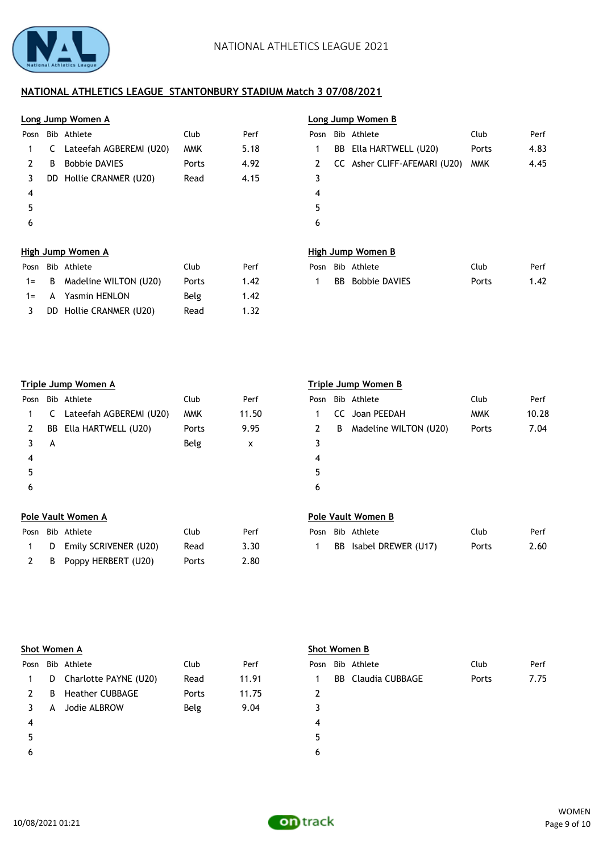

### **Long Jump Women A Long Jump Women B**

|              |    | Posn Bib Athlete        | Club       | Perf | Posn | Bib Athlete                  | Club       | Perf |
|--------------|----|-------------------------|------------|------|------|------------------------------|------------|------|
| $\mathbf{1}$ | C. | Lateefah AGBEREMI (U20) | <b>MMK</b> | 5.18 |      | BB Ella HARTWELL (U20)       | Ports      | 4.83 |
|              | B  | <b>Bobbie DAVIES</b>    | Ports      | 4.92 |      | CC Asher CLIFF-AFEMARI (U20) | <b>MMK</b> | 4.45 |
|              |    | DD Hollie CRANMER (U20) | Read       | 4.15 |      |                              |            |      |
| 4            |    |                         |            |      | 4    |                              |            |      |
|              |    |                         |            |      | 5    |                              |            |      |
| 6            |    |                         |            |      | 6    |                              |            |      |
|              |    |                         |            |      |      |                              |            |      |

|    | Posn Bib Athlete             | Club       | Perf |
|----|------------------------------|------------|------|
| 1  | BB Ella HARTWELL (U20)       | Ports      | 4.83 |
| -2 | CC Asher CLIFF-AFEMARI (U20) | <b>MMK</b> | 4.45 |
| 3  |                              |            |      |
| 4  |                              |            |      |
| 5  |                              |            |      |
| 6  |                              |            |      |
|    |                              |            |      |

### **High Jump Women A High Jump Women B**

|         | Club                                                                                       | Perf |  | Club                                 | Perf |
|---------|--------------------------------------------------------------------------------------------|------|--|--------------------------------------|------|
|         | Ports                                                                                      | 1.42 |  | Ports                                | l.42 |
|         | Belg                                                                                       | 1.42 |  |                                      |      |
|         | Read                                                                                       | 1.32 |  |                                      |      |
| $1 = A$ | Posn Bib Athlete<br>1= B Madeline WILTON (U20)<br>Yasmin HENLON<br>DD Hollie CRANMER (U20) |      |  | Posn Bib Athlete<br>BB Bobbie DAVIES |      |

| High Jump Women B |
|-------------------|
|-------------------|

|  | Posn Bib Athlete | Club  | Perf |
|--|------------------|-------|------|
|  | BB Bobbie DAVIES | Ports | 1.42 |

|      |     | Triple Jump Women A     |            |       |      | Triple Jump Women B |                           |            |       |  |  |  |
|------|-----|-------------------------|------------|-------|------|---------------------|---------------------------|------------|-------|--|--|--|
| Posn |     | Bib Athlete             | Club       | Perf  | Posn |                     | Bib Athlete               | Club       | Perf  |  |  |  |
|      | C   | Lateefah AGBEREMI (U20) | <b>MMK</b> | 11.50 |      |                     | CC Joan PEEDAH            | <b>MMK</b> | 10.23 |  |  |  |
| 2    | BB. | Ella HARTWELL (U20)     | Ports      | 9.95  | 2    | B                   | Madeline WILTON (U20)     | Ports      | 7.04  |  |  |  |
| 3    | A   |                         | Belg       | X     | 3    |                     |                           |            |       |  |  |  |
| 4    |     |                         |            |       | 4    |                     |                           |            |       |  |  |  |
| 5    |     |                         |            |       | 5    |                     |                           |            |       |  |  |  |
| 6    |     |                         |            |       | 6    |                     |                           |            |       |  |  |  |
|      |     | Pole Vault Women A      |            |       |      |                     | <b>Pole Vault Women B</b> |            |       |  |  |  |

|           |   | osn Bib Athlete         | Club       | Perf  |   |   | Posn Bib Athlete      | Club       | Perf  |
|-----------|---|-------------------------|------------|-------|---|---|-----------------------|------------|-------|
| $1 \quad$ | C | Lateefah AGBEREMI (U20) | <b>MMK</b> | 11.50 |   |   | CC Joan PEEDAH        | <b>MMK</b> | 10.28 |
| 2         |   | BB Ella HARTWELL (U20)  | Ports      | 9.95  |   | B | Madeline WILTON (U20) | Ports      | 7.04  |
| 3 A       |   |                         | Belg       | x     |   |   |                       |            |       |
| 4         |   |                         |            |       | 4 |   |                       |            |       |
| 5         |   |                         |            |       | 5 |   |                       |            |       |
| 6.        |   |                         |            |       | 6 |   |                       |            |       |
|           |   |                         |            |       |   |   |                       |            |       |

|  | Posn Bib Athlete        | Club         | Perf |  | Posn Bib Athlete       | Club  | Perf |
|--|-------------------------|--------------|------|--|------------------------|-------|------|
|  | D Emily SCRIVENER (U20) | Read         | 3.30 |  | BB Isabel DREWER (U17) | Ports | 2.60 |
|  | 2 B Poppy HERBERT (U20) | <b>Ports</b> | 2.80 |  |                        |       |      |

### **Pole Vault Women B**

|  | osn Bib Athlete           | Club | Perf |  | Posn Bib Athlete       | Club  | Perf |
|--|---------------------------|------|------|--|------------------------|-------|------|
|  | 1 D Emily SCRIVENER (U20) | Read | 3.30 |  | BB Isabel DREWER (U17) | Ports | 2.60 |

### **Shot Women A Shot Women B**

|   |   | Posn Bib Athlete      | Club  | Perf  | Posn | Bib Athlete               | Club  | Perf |
|---|---|-----------------------|-------|-------|------|---------------------------|-------|------|
|   | D | Charlotte PAYNE (U20) | Read  | 11.91 |      | <b>BB</b> Claudia CUBBAGE | Ports | 7.75 |
| 2 | B | Heather CUBBAGE       | Ports | 11.75 |      |                           |       |      |
|   | A | Jodie ALBROW          | Belg  | 9.04  |      |                           |       |      |
| 4 |   |                       |       |       | 4    |                           |       |      |
| 5 |   |                       |       |       | b.   |                           |       |      |
| 6 |   |                       |       |       | 6    |                           |       |      |
|   |   |                       |       |       |      |                           |       |      |

|           |   | osn Bib Athlete         | Club  | Perf  |   | Posn Bib Athlete          | Club  | Perf |
|-----------|---|-------------------------|-------|-------|---|---------------------------|-------|------|
| $1 \quad$ |   | D Charlotte PAYNE (U20) | Read  | 11.91 |   | <b>BB</b> Claudia CUBBAGE | Ports | 7.75 |
| 2         | B | Heather CUBBAGE         | Ports | 11.75 |   |                           |       |      |
| 3         | A | Jodie ALBROW            | Belg  | 9.04  |   |                           |       |      |
| 4         |   |                         |       |       | 4 |                           |       |      |
| 5         |   |                         |       |       | 5 |                           |       |      |
| 6         |   |                         |       |       | 6 |                           |       |      |
|           |   |                         |       |       |   |                           |       |      |